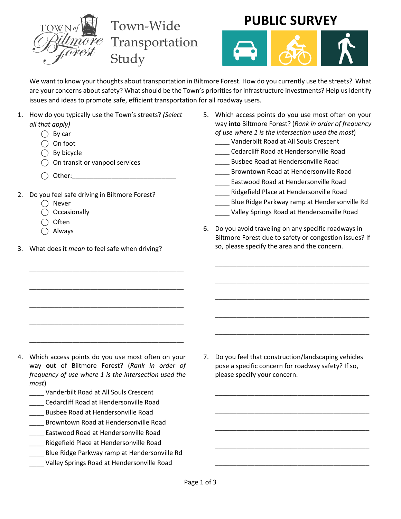

**PUBLIC SURVEY**



We want to know your thoughts about transportation in Biltmore Forest. How do you currently use the streets? What are your concerns about safety? What should be the Town's priorities for infrastructure investments? Help us identify issues and ideas to promote safe, efficient transportation for all roadway users.

- 1. How do you typically use the Town's streets? *(Select all that apply)*
	- $\bigcap$  By car
	- $\bigcap$  On foot
	- $\bigcap$  By bicycle
	- ◯ On transit or vanpool services
	- $\bigcap$  Other:
- 2. Do you feel safe driving in Biltmore Forest?
	- ◯ Never
	- ⃝ Occasionally
	- $\bigcap$  Often
	- $\bigcap$  Always
- 3. What does it *mean* to feel safe when driving?

\_\_\_\_\_\_\_\_\_\_\_\_\_\_\_\_\_\_\_\_\_\_\_\_\_\_\_\_\_\_\_\_\_\_\_\_\_\_\_\_\_\_\_

\_\_\_\_\_\_\_\_\_\_\_\_\_\_\_\_\_\_\_\_\_\_\_\_\_\_\_\_\_\_\_\_\_\_\_\_\_\_\_\_\_\_\_

\_\_\_\_\_\_\_\_\_\_\_\_\_\_\_\_\_\_\_\_\_\_\_\_\_\_\_\_\_\_\_\_\_\_\_\_\_\_\_\_\_\_\_

\_\_\_\_\_\_\_\_\_\_\_\_\_\_\_\_\_\_\_\_\_\_\_\_\_\_\_\_\_\_\_\_\_\_\_\_\_\_\_\_\_\_\_

\_\_\_\_\_\_\_\_\_\_\_\_\_\_\_\_\_\_\_\_\_\_\_\_\_\_\_\_\_\_\_\_\_\_\_\_\_\_\_\_\_\_\_

- 5. Which access points do you use most often on your way **into** Biltmore Forest? (*Rank in order of frequency of use where 1 is the intersection used the most*)
	- \_\_\_\_ Vanderbilt Road at All Souls Crescent
	- \_\_\_\_ Cedarcliff Road at Hendersonville Road
	- \_\_\_\_ Busbee Road at Hendersonville Road
	- \_\_\_\_ Browntown Road at Hendersonville Road
	- \_\_\_\_ Eastwood Road at Hendersonville Road
	- \_\_\_\_ Ridgefield Place at Hendersonville Road
	- Blue Ridge Parkway ramp at Hendersonville Rd
	- \_\_\_\_ Valley Springs Road at Hendersonville Road
- 6. Do you avoid traveling on any specific roadways in Biltmore Forest due to safety or congestion issues? If so, please specify the area and the concern.

\_\_\_\_\_\_\_\_\_\_\_\_\_\_\_\_\_\_\_\_\_\_\_\_\_\_\_\_\_\_\_\_\_\_\_\_\_\_\_\_\_\_\_

\_\_\_\_\_\_\_\_\_\_\_\_\_\_\_\_\_\_\_\_\_\_\_\_\_\_\_\_\_\_\_\_\_\_\_\_\_\_\_\_\_\_\_

\_\_\_\_\_\_\_\_\_\_\_\_\_\_\_\_\_\_\_\_\_\_\_\_\_\_\_\_\_\_\_\_\_\_\_\_\_\_\_\_\_\_\_

\_\_\_\_\_\_\_\_\_\_\_\_\_\_\_\_\_\_\_\_\_\_\_\_\_\_\_\_\_\_\_\_\_\_\_\_\_\_\_\_\_\_\_

\_\_\_\_\_\_\_\_\_\_\_\_\_\_\_\_\_\_\_\_\_\_\_\_\_\_\_\_\_\_\_\_\_\_\_\_\_\_\_\_\_\_\_

\_\_\_\_\_\_\_\_\_\_\_\_\_\_\_\_\_\_\_\_\_\_\_\_\_\_\_\_\_\_\_\_\_\_\_\_\_\_\_\_\_\_\_

\_\_\_\_\_\_\_\_\_\_\_\_\_\_\_\_\_\_\_\_\_\_\_\_\_\_\_\_\_\_\_\_\_\_\_\_\_\_\_\_\_\_\_

\_\_\_\_\_\_\_\_\_\_\_\_\_\_\_\_\_\_\_\_\_\_\_\_\_\_\_\_\_\_\_\_\_\_\_\_\_\_\_\_\_\_\_

\_\_\_\_\_\_\_\_\_\_\_\_\_\_\_\_\_\_\_\_\_\_\_\_\_\_\_\_\_\_\_\_\_\_\_\_\_\_\_\_\_\_\_

\_\_\_\_\_\_\_\_\_\_\_\_\_\_\_\_\_\_\_\_\_\_\_\_\_\_\_\_\_\_\_\_\_\_\_\_\_\_\_\_\_\_\_

- 4. Which access points do you use most often on your way **out** of Biltmore Forest? (*Rank in order of frequency of use where 1 is the intersection used the most*)
	- \_\_\_\_ Vanderbilt Road at All Souls Crescent
	- \_\_\_\_ Cedarcliff Road at Hendersonville Road
	- \_\_\_\_ Busbee Road at Hendersonville Road
	- \_\_\_\_ Browntown Road at Hendersonville Road
	- \_\_\_\_ Eastwood Road at Hendersonville Road
	- \_\_\_\_ Ridgefield Place at Hendersonville Road
	- \_\_\_\_ Blue Ridge Parkway ramp at Hendersonville Rd
	- \_\_\_\_ Valley Springs Road at Hendersonville Road

7. Do you feel that construction/landscaping vehicles pose a specific concern for roadway safety? If so, please specify your concern.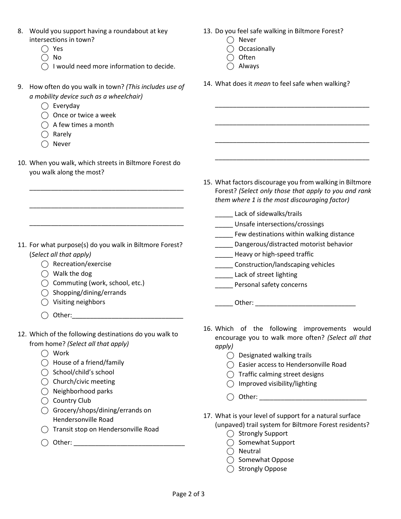- 8. Would you support having a roundabout at key intersections in town?
	- ⃝ Yes
	- $\bigcirc$  No
	- $\bigcap$  I would need more information to decide.
- 9. How often do you walk in town? *(This includes use of a mobility device such as a wheelchair)*
	- $\bigcap$  Everyday
	- $\bigcirc$  Once or twice a week
	- $\bigcap$  A few times a month
	- $\bigcap$  Rarely
	- ◯ Never
- 10. When you walk, which streets in Biltmore Forest do you walk along the most?

\_\_\_\_\_\_\_\_\_\_\_\_\_\_\_\_\_\_\_\_\_\_\_\_\_\_\_\_\_\_\_\_\_\_\_\_\_\_\_\_\_\_\_

\_\_\_\_\_\_\_\_\_\_\_\_\_\_\_\_\_\_\_\_\_\_\_\_\_\_\_\_\_\_\_\_\_\_\_\_\_\_\_\_\_\_\_

\_\_\_\_\_\_\_\_\_\_\_\_\_\_\_\_\_\_\_\_\_\_\_\_\_\_\_\_\_\_\_\_\_\_\_\_\_\_\_\_\_\_\_

- 11. For what purpose(s) do you walk in Biltmore Forest? (*Select all that apply)*
	- ⃝ Recreation/exercise
	- $\bigcap$  Walk the dog
	- $\bigcap$  Commuting (work, school, etc.)
	- $\bigcap$  Shopping/dining/errands
	- ⃝ Visiting neighbors
	- $\bigcap$  Other:
- 12. Which of the following destinations do you walk to from home? *(Select all that apply)*
	- ⃝ Work
	- $\bigcap$  House of a friend/family
	- ◯ School/child's school
	- ◯ Church/civic meeting
	- $\bigcirc$  Neighborhood parks
	- $\bigcap$  Country Club
	- ⃝ Grocery/shops/dining/errands on Hendersonville Road
	- ⃝ Transit stop on Hendersonville Road
	- ⃝ Other: \_\_\_\_\_\_\_\_\_\_\_\_\_\_\_\_\_\_\_\_\_\_\_\_\_\_\_\_\_\_\_
- 13. Do you feel safe walking in Biltmore Forest?
	- $\bigcap$  Never
	- ⃝ Occasionally
	- $\bigcap$  Often
	- $\bigcap$  Always
- 14. What does it *mean* to feel safe when walking?

\_\_\_\_\_\_\_\_\_\_\_\_\_\_\_\_\_\_\_\_\_\_\_\_\_\_\_\_\_\_\_\_\_\_\_\_\_\_\_\_\_\_\_

\_\_\_\_\_\_\_\_\_\_\_\_\_\_\_\_\_\_\_\_\_\_\_\_\_\_\_\_\_\_\_\_\_\_\_\_\_\_\_\_\_\_\_

\_\_\_\_\_\_\_\_\_\_\_\_\_\_\_\_\_\_\_\_\_\_\_\_\_\_\_\_\_\_\_\_\_\_\_\_\_\_\_\_\_\_\_

\_\_\_\_\_\_\_\_\_\_\_\_\_\_\_\_\_\_\_\_\_\_\_\_\_\_\_\_\_\_\_\_\_\_\_\_\_\_\_\_\_\_\_

- 15. What factors discourage you from walking in Biltmore Forest? *(Select only those that apply to you and rank them where 1 is the most discouraging factor)*
	- Lack of sidewalks/trails
	- \_\_\_\_\_ Unsafe intersections/crossings
	- \_\_\_\_\_ Few destinations within walking distance
	- \_\_\_\_\_ Dangerous/distracted motorist behavior
	- \_\_\_\_\_ Heavy or high-speed traffic
	- \_\_\_\_\_ Construction/landscaping vehicles
	- Lack of street lighting
	- \_\_\_\_\_ Personal safety concerns

## \_\_\_\_\_ Other: \_\_\_\_\_\_\_\_\_\_\_\_\_\_\_\_\_\_\_\_\_\_\_\_\_\_\_\_

- 16. Which of the following improvements would encourage you to walk more often? *(Select all that apply)*
	- $\bigcap$  Designated walking trails
	- ⃝ Easier access to Hendersonville Road
	- ⃝ Traffic calming street designs
	- $\bigcap$  Improved visibility/lighting
	- $\bigcap$  Other:
- 17. What is your level of support for a natural surface (unpaved) trail system for Biltmore Forest residents?
	- ◯ Strongly Support
	- ⃝ Somewhat Support
	- $\bigcap$  Neutral
	- ◯ Somewhat Oppose
	- ◯ Strongly Oppose